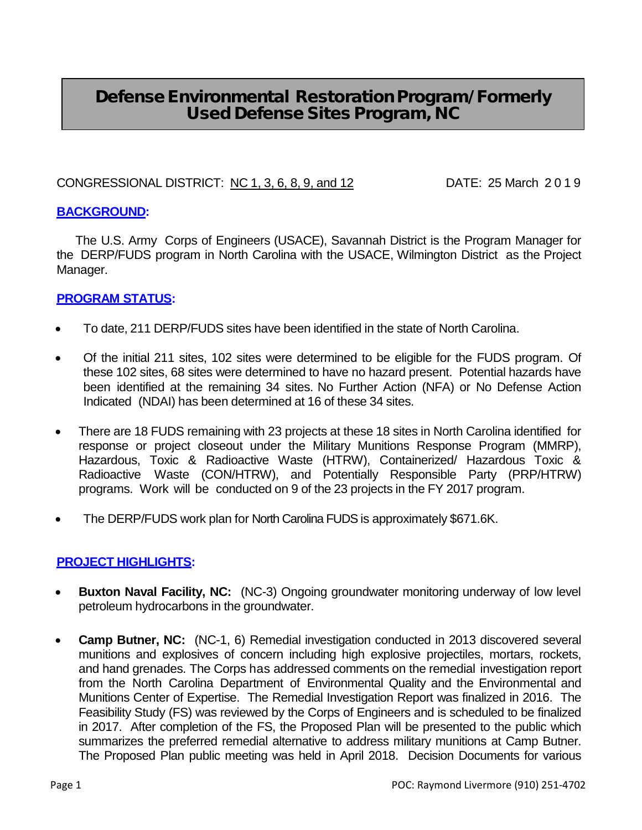# Defense Environmental Restoration Program/ Formerly Used Defense Sites Program, NC

### CONGRESSIONAL DISTRICT: NC 1, 3, 6, 8, 9, and 12 DATE: 25 March 2019

### **BACKGROUND:**

The U.S. Army Corps of Engineers (USACE), Savannah District is the Program Manager for the DERP/FUDS program in North Carolina with the USACE, Wilmington District as the Project Manager.

### **PROGRAM STATUS:**

- To date, 211 DERP/FUDS sites have been identified in the state of North Carolina.
- Of the initial 211 sites, 102 sites were determined to be eligible for the FUDS program. Of these 102 sites, 68 sites were determined to have no hazard present. Potential hazards have been identified at the remaining 34 sites. No Further Action (NFA) or No Defense Action Indicated (NDAI) has been determined at 16 of these 34 sites.
- There are 18 FUDS remaining with 23 projects at these 18 sites in North Carolina identified for response or project closeout under the Military Munitions Response Program (MMRP), Hazardous, Toxic & Radioactive Waste (HTRW), Containerized/ Hazardous Toxic & Radioactive Waste (CON/HTRW), and Potentially Responsible Party (PRP/HTRW) programs. Work will be conducted on 9 of the 23 projects in the FY 2017 program.
- The DERP/FUDS work plan for North Carolina FUDS is approximately \$671.6K.

#### **PROJECT HIGHLIGHTS:**

- **Buxton Naval Facility, NC:** (NC-3) Ongoing groundwater monitoring underway of low level petroleum hydrocarbons in the groundwater.
- **Camp Butner, NC:** (NC-1, 6) Remedial investigation conducted in 2013 discovered several munitions and explosives of concern including high explosive projectiles, mortars, rockets, and hand grenades. The Corps has addressed comments on the remedial investigation report from the North Carolina Department of Environmental Quality and the Environmental and Munitions Center of Expertise. The Remedial Investigation Report was finalized in 2016. The Feasibility Study (FS) was reviewed by the Corps of Engineers and is scheduled to be finalized in 2017. After completion of the FS, the Proposed Plan will be presented to the public which summarizes the preferred remedial alternative to address military munitions at Camp Butner. The Proposed Plan public meeting was held in April 2018. Decision Documents for various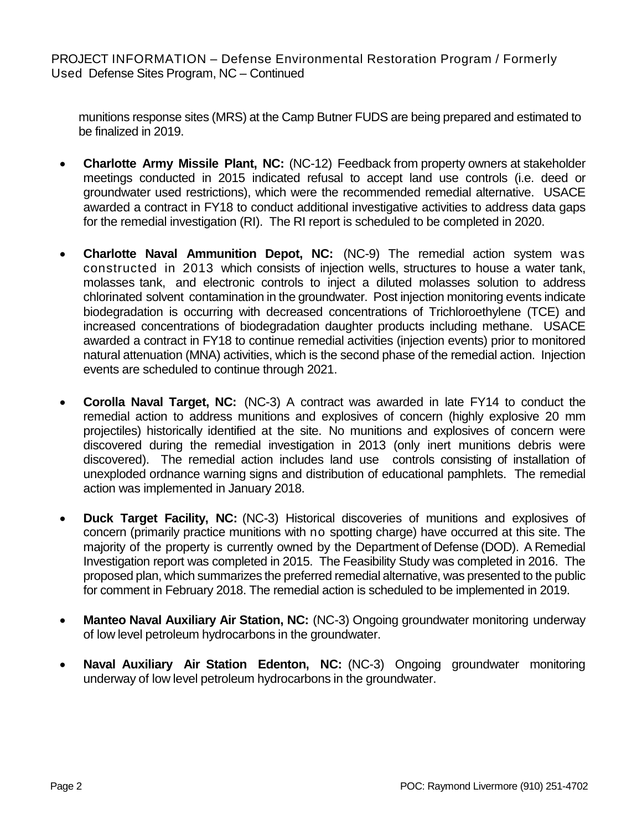munitions response sites (MRS) at the Camp Butner FUDS are being prepared and estimated to be finalized in 2019.

- **Charlotte Army Missile Plant, NC:** (NC-12) Feedback from property owners at stakeholder meetings conducted in 2015 indicated refusal to accept land use controls (i.e. deed or groundwater used restrictions), which were the recommended remedial alternative. USACE awarded a contract in FY18 to conduct additional investigative activities to address data gaps for the remedial investigation (RI). The RI report is scheduled to be completed in 2020.
- **Charlotte Naval Ammunition Depot, NC:** (NC-9) The remedial action system was constructed in 2013 which consists of injection wells, structures to house a water tank, molasses tank, and electronic controls to inject a diluted molasses solution to address chlorinated solvent contamination in the groundwater. Post injection monitoring events indicate biodegradation is occurring with decreased concentrations of Trichloroethylene (TCE) and increased concentrations of biodegradation daughter products including methane. USACE awarded a contract in FY18 to continue remedial activities (injection events) prior to monitored natural attenuation (MNA) activities, which is the second phase of the remedial action. Injection events are scheduled to continue through 2021.
- **Corolla Naval Target, NC:** (NC-3) A contract was awarded in late FY14 to conduct the remedial action to address munitions and explosives of concern (highly explosive 20 mm projectiles) historically identified at the site. No munitions and explosives of concern were discovered during the remedial investigation in 2013 (only inert munitions debris were discovered). The remedial action includes land use controls consisting of installation of unexploded ordnance warning signs and distribution of educational pamphlets. The remedial action was implemented in January 2018.
- **Duck Target Facility, NC:** (NC-3) Historical discoveries of munitions and explosives of concern (primarily practice munitions with no spotting charge) have occurred at this site. The majority of the property is currently owned by the Department of Defense (DOD). A Remedial Investigation report was completed in 2015. The Feasibility Study was completed in 2016. The proposed plan, which summarizes the preferred remedial alternative, was presented to the public for comment in February 2018. The remedial action is scheduled to be implemented in 2019.
- **Manteo Naval Auxiliary Air Station, NC:** (NC-3) Ongoing groundwater monitoring underway of low level petroleum hydrocarbons in the groundwater.
- **Naval Auxiliary Air Station Edenton, NC:** (NC-3) Ongoing groundwater monitoring underway of low level petroleum hydrocarbons in the groundwater.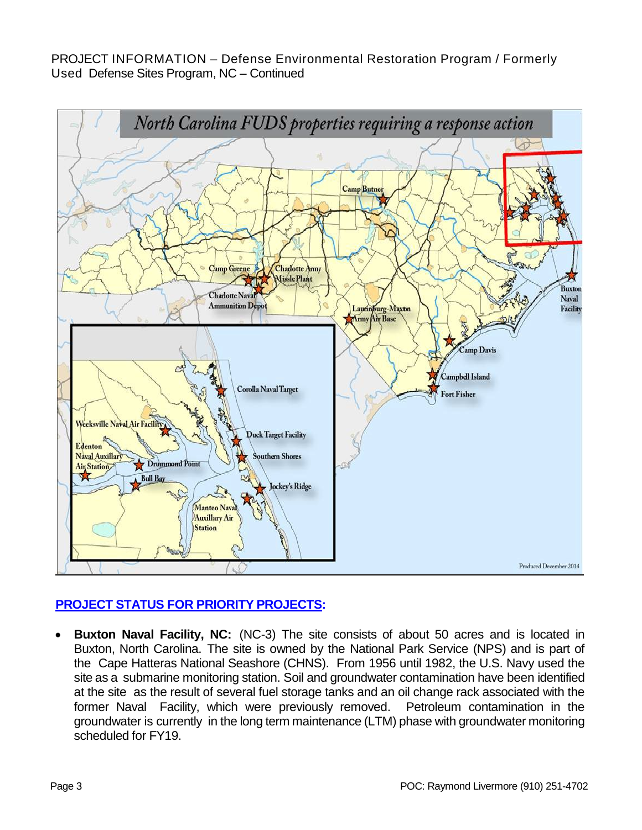

## **PROJECT STATUS FOR PRIORITY PROJECTS:**

• **Buxton Naval Facility, NC:** (NC-3) The site consists of about 50 acres and is located in Buxton, North Carolina. The site is owned by the National Park Service (NPS) and is part of the Cape Hatteras National Seashore (CHNS). From 1956 until 1982, the U.S. Navy used the site as a submarine monitoring station. Soil and groundwater contamination have been identified at the site as the result of several fuel storage tanks and an oil change rack associated with the former Naval Facility, which were previously removed. Petroleum contamination in the groundwater is currently in the long term maintenance (LTM) phase with groundwater monitoring scheduled for FY19.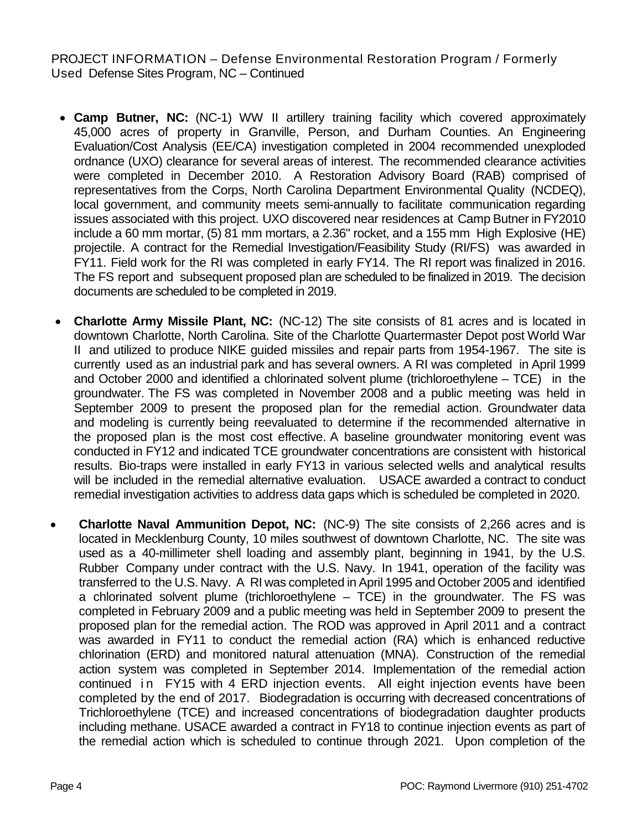- **Camp Butner, NC:** (NC-1) WW II artillery training facility which covered approximately 45,000 acres of property in Granville, Person, and Durham Counties. An Engineering Evaluation/Cost Analysis (EE/CA) investigation completed in 2004 recommended unexploded ordnance (UXO) clearance for several areas of interest. The recommended clearance activities were completed in December 2010. A Restoration Advisory Board (RAB) comprised of representatives from the Corps, North Carolina Department Environmental Quality (NCDEQ), local government, and community meets semi-annually to facilitate communication regarding issues associated with this project. UXO discovered near residences at Camp Butner in FY2010 include a 60 mm mortar, (5) 81 mm mortars, a 2.36" rocket, and a 155 mm High Explosive (HE) projectile. A contract for the Remedial Investigation/Feasibility Study (RI/FS) was awarded in FY11. Field work for the RI was completed in early FY14. The RI report was finalized in 2016. The FS report and subsequent proposed plan are scheduled to be finalized in 2019. The decision documents are scheduled to be completed in 2019.
- **Charlotte Army Missile Plant, NC:** (NC-12) The site consists of 81 acres and is located in downtown Charlotte, North Carolina. Site of the Charlotte Quartermaster Depot post World War II and utilized to produce NIKE guided missiles and repair parts from 1954-1967. The site is currently used as an industrial park and has several owners. A RI was completed in April 1999 and October 2000 and identified a chlorinated solvent plume (trichloroethylene – TCE) in the groundwater. The FS was completed in November 2008 and a public meeting was held in September 2009 to present the proposed plan for the remedial action. Groundwater data and modeling is currently being reevaluated to determine if the recommended alternative in the proposed plan is the most cost effective. A baseline groundwater monitoring event was conducted in FY12 and indicated TCE groundwater concentrations are consistent with historical results. Bio-traps were installed in early FY13 in various selected wells and analytical results will be included in the remedial alternative evaluation. USACE awarded a contract to conduct remedial investigation activities to address data gaps which is scheduled be completed in 2020.
- **Charlotte Naval Ammunition Depot, NC:** (NC-9) The site consists of 2,266 acres and is located in Mecklenburg County, 10 miles southwest of downtown Charlotte, NC. The site was used as a 40-millimeter shell loading and assembly plant, beginning in 1941, by the U.S. Rubber Company under contract with the U.S. Navy. In 1941, operation of the facility was transferred to the U.S. Navy. A RI was completed in April 1995 and October 2005 and identified a chlorinated solvent plume (trichloroethylene – TCE) in the groundwater. The FS was completed in February 2009 and a public meeting was held in September 2009 to present the proposed plan for the remedial action. The ROD was approved in April 2011 and a contract was awarded in FY11 to conduct the remedial action (RA) which is enhanced reductive chlorination (ERD) and monitored natural attenuation (MNA). Construction of the remedial action system was completed in September 2014. Implementation of the remedial action continued in FY15 with 4 ERD injection events. All eight injection events have been completed by the end of 2017. Biodegradation is occurring with decreased concentrations of Trichloroethylene (TCE) and increased concentrations of biodegradation daughter products including methane. USACE awarded a contract in FY18 to continue injection events as part of the remedial action which is scheduled to continue through 2021. Upon completion of the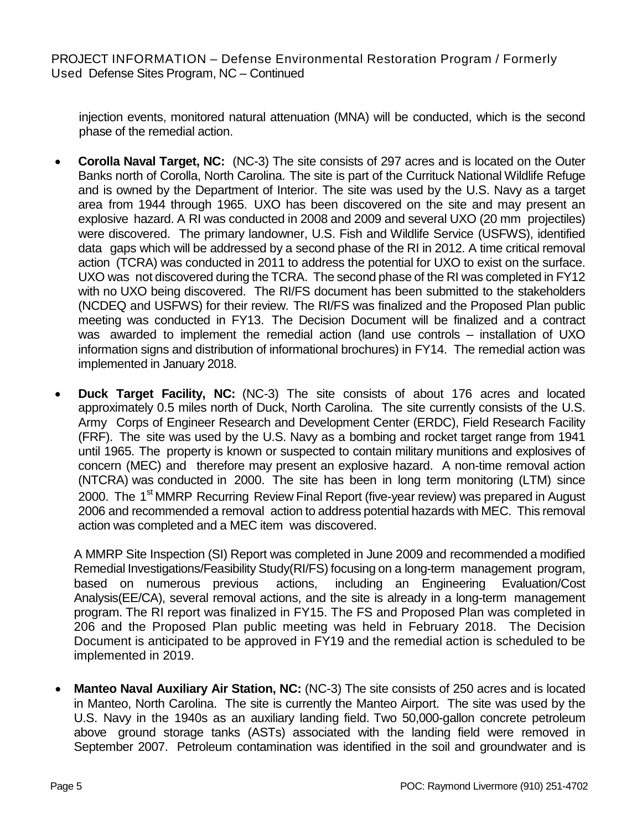injection events, monitored natural attenuation (MNA) will be conducted, which is the second phase of the remedial action.

- **Corolla Naval Target, NC:** (NC-3) The site consists of 297 acres and is located on the Outer Banks north of Corolla, North Carolina. The site is part of the Currituck National Wildlife Refuge and is owned by the Department of Interior. The site was used by the U.S. Navy as a target area from 1944 through 1965. UXO has been discovered on the site and may present an explosive hazard. A RI was conducted in 2008 and 2009 and several UXO (20 mm projectiles) were discovered. The primary landowner, U.S. Fish and Wildlife Service (USFWS), identified data gaps which will be addressed by a second phase of the RI in 2012. A time critical removal action (TCRA) was conducted in 2011 to address the potential for UXO to exist on the surface. UXO was not discovered during the TCRA. The second phase of the RI was completed in FY12 with no UXO being discovered. The RI/FS document has been submitted to the stakeholders (NCDEQ and USFWS) for their review. The RI/FS was finalized and the Proposed Plan public meeting was conducted in FY13. The Decision Document will be finalized and a contract was awarded to implement the remedial action (land use controls – installation of UXO information signs and distribution of informational brochures) in FY14. The remedial action was implemented in January 2018.
- **Duck Target Facility, NC:** (NC-3) The site consists of about 176 acres and located approximately 0.5 miles north of Duck, North Carolina. The site currently consists of the U.S. Army Corps of Engineer Research and Development Center (ERDC), Field Research Facility (FRF). The site was used by the U.S. Navy as a bombing and rocket target range from 1941 until 1965. The property is known or suspected to contain military munitions and explosives of concern (MEC) and therefore may present an explosive hazard. A non-time removal action (NTCRA) was conducted in 2000. The site has been in long term monitoring (LTM) since 2000. The 1<sup>st</sup> MMRP Recurring Review Final Report (five-year review) was prepared in August 2006 and recommended a removal action to address potential hazards with MEC. This removal action was completed and a MEC item was discovered.

A MMRP Site Inspection (SI) Report was completed in June 2009 and recommended a modified Remedial Investigations/Feasibility Study(RI/FS) focusing on a long-term management program, based on numerous previous actions, including an Engineering Evaluation/Cost Analysis(EE/CA), several removal actions, and the site is already in a long-term management program. The RI report was finalized in FY15. The FS and Proposed Plan was completed in 206 and the Proposed Plan public meeting was held in February 2018. The Decision Document is anticipated to be approved in FY19 and the remedial action is scheduled to be implemented in 2019.

• **Manteo Naval Auxiliary Air Station, NC:** (NC-3) The site consists of 250 acres and is located in Manteo, North Carolina. The site is currently the Manteo Airport. The site was used by the U.S. Navy in the 1940s as an auxiliary landing field. Two 50,000-gallon concrete petroleum above ground storage tanks (ASTs) associated with the landing field were removed in September 2007. Petroleum contamination was identified in the soil and groundwater and is